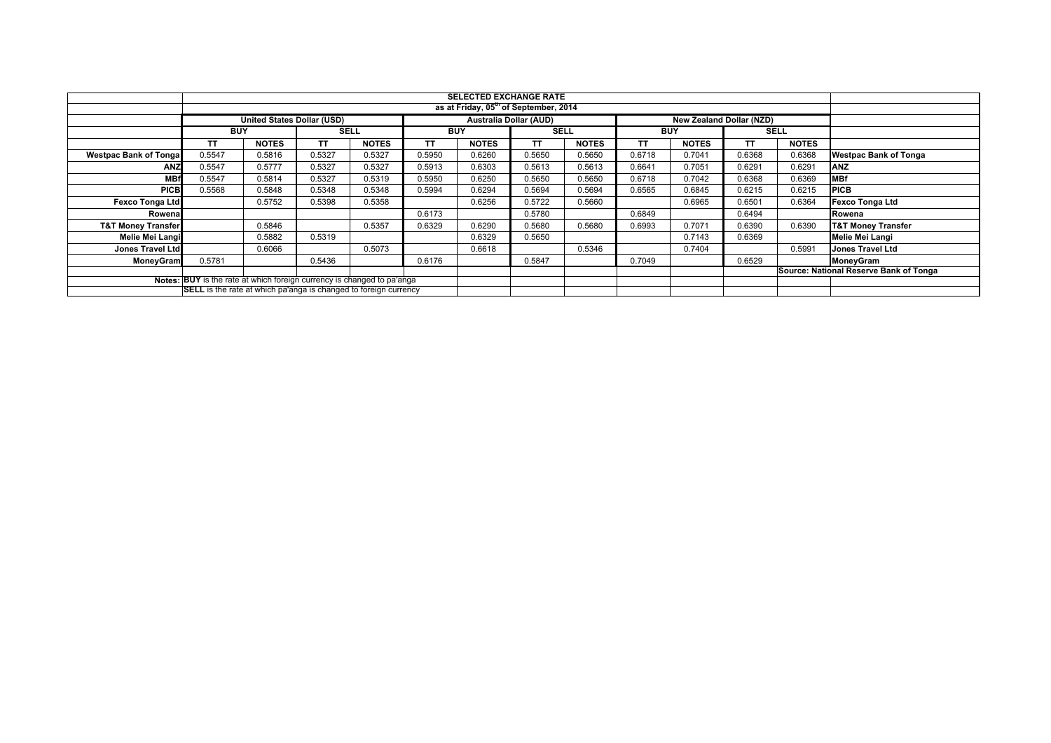|                               |                                                                                                                                                   | <b>SELECTED EXCHANGE RATE</b>     |             |              |            |                               |             |              |            |              |                                 |              |                                        |
|-------------------------------|---------------------------------------------------------------------------------------------------------------------------------------------------|-----------------------------------|-------------|--------------|------------|-------------------------------|-------------|--------------|------------|--------------|---------------------------------|--------------|----------------------------------------|
|                               | as at Friday, 05 <sup>th</sup> of September, 2014                                                                                                 |                                   |             |              |            |                               |             |              |            |              |                                 |              |                                        |
|                               |                                                                                                                                                   | <b>United States Dollar (USD)</b> |             |              |            | <b>Australia Dollar (AUD)</b> |             |              |            |              | <b>New Zealand Dollar (NZD)</b> |              |                                        |
|                               | <b>BUY</b>                                                                                                                                        |                                   | <b>SELL</b> |              | <b>BUY</b> |                               | <b>SELL</b> |              | <b>BUY</b> |              | <b>SELL</b>                     |              |                                        |
|                               | <b>TT</b>                                                                                                                                         | <b>NOTES</b>                      | TΤ          | <b>NOTES</b> | <b>TT</b>  | <b>NOTES</b>                  | <b>TT</b>   | <b>NOTES</b> | TТ         | <b>NOTES</b> | TΤ                              | <b>NOTES</b> |                                        |
| <b>Westpac Bank of Tongal</b> | 0.5547                                                                                                                                            | 0.5816                            | 0.5327      | 0.5327       | 0.5950     | 0.6260                        | 0.5650      | 0.5650       | 0.6718     | 0.7041       | 0.6368                          | 0.6368       | <b>Westpac Bank of Tonga</b>           |
| <b>ANZ</b>                    | 0.5547                                                                                                                                            | 0.5777                            | 0.5327      | 0.5327       | 0.5913     | 0.6303                        | 0.5613      | 0.5613       | 0.6641     | 0.7051       | 0.6291                          | 0.6291       | <b>ANZ</b>                             |
| <b>MBf</b>                    | 0.5547                                                                                                                                            | 0.5814                            | 0.5327      | 0.5319       | 0.5950     | 0.6250                        | 0.5650      | 0.5650       | 0.6718     | 0.7042       | 0.6368                          | 0.6369       | <b>MBf</b>                             |
| <b>PICB</b>                   | 0.5568                                                                                                                                            | 0.5848                            | 0.5348      | 0.5348       | 0.5994     | 0.6294                        | 0.5694      | 0.5694       | 0.6565     | 0.6845       | 0.6215                          | 0.6215       | <b>PICB</b>                            |
| <b>Fexco Tonga Ltd</b>        |                                                                                                                                                   | 0.5752                            | 0.5398      | 0.5358       |            | 0.6256                        | 0.5722      | 0.5660       |            | 0.6965       | 0.6501                          | 0.6364       | <b>Fexco Tonga Ltd</b>                 |
| Rowenal                       |                                                                                                                                                   |                                   |             |              | 0.6173     |                               | 0.5780      |              | 0.6849     |              | 0.6494                          |              | Rowena                                 |
| <b>T&amp;T Money Transfer</b> |                                                                                                                                                   | 0.5846                            |             | 0.5357       | 0.6329     | 0.6290                        | 0.5680      | 0.5680       | 0.6993     | 0.7071       | 0.6390                          | 0.6390       | <b>T&amp;T Money Transfer</b>          |
| <b>Melie Mei Langi</b>        |                                                                                                                                                   | 0.5882                            | 0.5319      |              |            | 0.6329                        | 0.5650      |              |            | 0.7143       | 0.6369                          |              | <b>Melie Mei Langi</b>                 |
| <b>Jones Travel Ltd</b>       |                                                                                                                                                   | 0.6066                            |             | 0.5073       |            | 0.6618                        |             | 0.5346       |            | 0.7404       |                                 | 0.5991       | <b>Jones Travel Ltd</b>                |
| <b>MoneyGram</b>              | 0.5781                                                                                                                                            |                                   | 0.5436      |              | 0.6176     |                               | 0.5847      |              | 0.7049     |              | 0.6529                          |              | MoneyGram                              |
|                               |                                                                                                                                                   |                                   |             |              |            |                               |             |              |            |              |                                 |              | Source: National Reserve Bank of Tonga |
|                               | Notes: BUY is the rate at which foreign currency is changed to pa'anga<br><b>SELL</b> is the rate at which pa'anga is changed to foreign currency |                                   |             |              |            |                               |             |              |            |              |                                 |              |                                        |
|                               |                                                                                                                                                   |                                   |             |              |            |                               |             |              |            |              |                                 |              |                                        |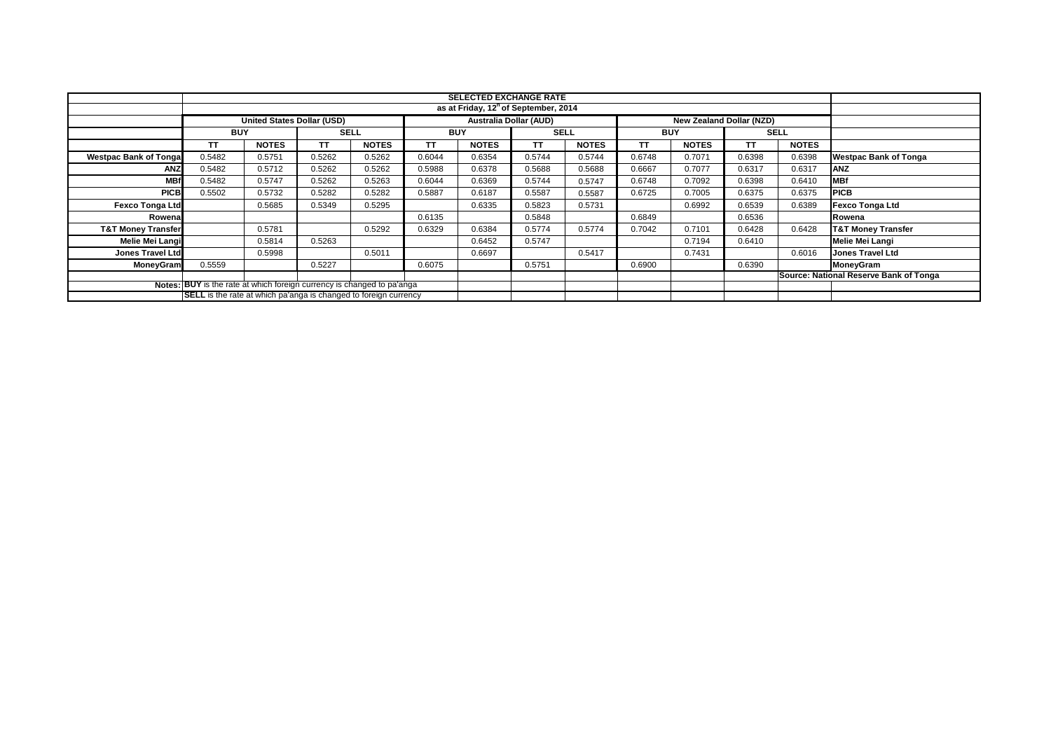|                                                                               |            | <b>SELECTED EXCHANGE RATE</b><br>as at Friday, 12 <sup>h</sup> of September, 2014 |             |              |            |                               |             |              |            |                          |             |              |                                        |
|-------------------------------------------------------------------------------|------------|-----------------------------------------------------------------------------------|-------------|--------------|------------|-------------------------------|-------------|--------------|------------|--------------------------|-------------|--------------|----------------------------------------|
|                                                                               |            |                                                                                   |             |              |            |                               |             |              |            |                          |             |              |                                        |
|                                                                               |            | <b>United States Dollar (USD)</b>                                                 |             |              |            | <b>Australia Dollar (AUD)</b> |             |              |            | New Zealand Dollar (NZD) |             |              |                                        |
|                                                                               | <b>BUY</b> |                                                                                   | <b>SELL</b> |              | <b>BUY</b> |                               | <b>SELL</b> |              | <b>BUY</b> |                          | <b>SELL</b> |              |                                        |
|                                                                               | TΤ         | <b>NOTES</b>                                                                      | ΤT          | <b>NOTES</b> | TT.        | <b>NOTES</b>                  | <b>TT</b>   | <b>NOTES</b> | ТT         | <b>NOTES</b>             | TΤ          | <b>NOTES</b> |                                        |
| <b>Westpac Bank of Tongal</b>                                                 | 0.5482     | 0.5751                                                                            | 0.5262      | 0.5262       | 0.6044     | 0.6354                        | 0.5744      | 0.5744       | 0.6748     | 0.7071                   | 0.6398      | 0.6398       | <b>Westpac Bank of Tonga</b>           |
| ANZ                                                                           | 0.5482     | 0.5712                                                                            | 0.5262      | 0.5262       | 0.5988     | 0.6378                        | 0.5688      | 0.5688       | 0.6667     | 0.7077                   | 0.6317      | 0.6317       | <b>ANZ</b>                             |
| <b>MBf</b>                                                                    | 0.5482     | 0.5747                                                                            | 0.5262      | 0.5263       | 0.6044     | 0.6369                        | 0.5744      | 0.5747       | 0.6748     | 0.7092                   | 0.6398      | 0.6410       | <b>MBf</b>                             |
| <b>PICB</b>                                                                   | 0.5502     | 0.5732                                                                            | 0.5282      | 0.5282       | 0.5887     | 0.6187                        | 0.5587      | 0.5587       | 0.6725     | 0.7005                   | 0.6375      | 0.6375       | <b>PICB</b>                            |
| <b>Fexco Tonga Ltd</b>                                                        |            | 0.5685                                                                            | 0.5349      | 0.5295       |            | 0.6335                        | 0.5823      | 0.5731       |            | 0.6992                   | 0.6539      | 0.6389       | <b>Fexco Tonga Ltd</b>                 |
| Rowenal                                                                       |            |                                                                                   |             |              | 0.6135     |                               | 0.5848      |              | 0.6849     |                          | 0.6536      |              | Rowena                                 |
| <b>T&amp;T Money Transfer</b>                                                 |            | 0.5781                                                                            |             | 0.5292       | 0.6329     | 0.6384                        | 0.5774      | 0.5774       | 0.7042     | 0.7101                   | 0.6428      | 0.6428       | <b>T&amp;T Money Transfer</b>          |
| <b>Melie Mei Langi</b>                                                        |            | 0.5814                                                                            | 0.5263      |              |            | 0.6452                        | 0.5747      |              |            | 0.7194                   | 0.6410      |              | <b>Melie Mei Langi</b>                 |
| <b>Jones Travel Ltd</b>                                                       |            | 0.5998                                                                            |             | 0.5011       |            | 0.6697                        |             | 0.5417       |            | 0.7431                   |             | 0.6016       | <b>Jones Travel Ltd</b>                |
| <b>MoneyGram</b>                                                              | 0.5559     |                                                                                   | 0.5227      |              | 0.6075     |                               | 0.5751      |              | 0.6900     |                          | 0.6390      |              | MoneyGram                              |
|                                                                               |            |                                                                                   |             |              |            |                               |             |              |            |                          |             |              | Source: National Reserve Bank of Tonga |
| <b>Notes: BUY</b> is the rate at which foreign currency is changed to pa'anga |            |                                                                                   |             |              |            |                               |             |              |            |                          |             |              |                                        |
| <b>SELL</b> is the rate at which pa'anga is changed to foreign currency       |            |                                                                                   |             |              |            |                               |             |              |            |                          |             |              |                                        |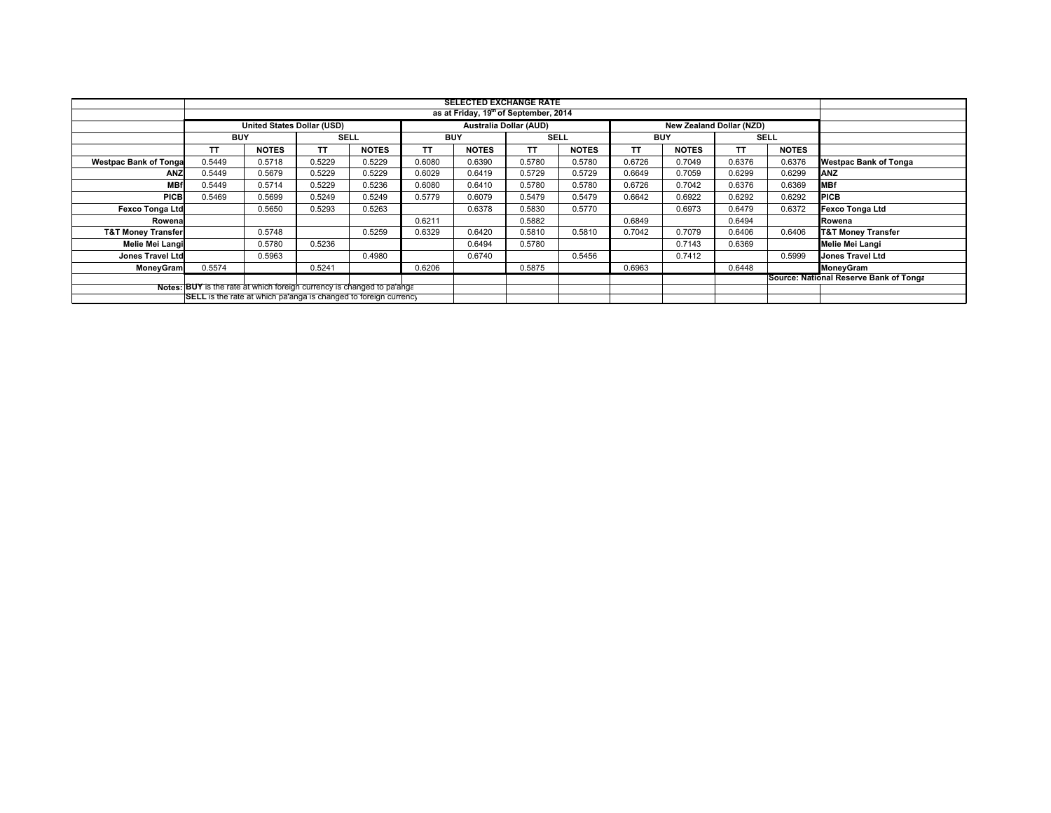|                                                                         | <b>SELECTED EXCHANGE RATE</b><br>as at Friday, 19 <sup>th</sup> of September, 2014 |                            |             |              |            |                        |                          |              |            |              |             |              |                                        |
|-------------------------------------------------------------------------|------------------------------------------------------------------------------------|----------------------------|-------------|--------------|------------|------------------------|--------------------------|--------------|------------|--------------|-------------|--------------|----------------------------------------|
|                                                                         |                                                                                    |                            |             |              |            |                        |                          |              |            |              |             |              |                                        |
|                                                                         |                                                                                    | United States Dollar (USD) |             |              |            | Australia Dollar (AUD) | New Zealand Dollar (NZD) |              |            |              |             |              |                                        |
|                                                                         | <b>BUY</b>                                                                         |                            | <b>SELL</b> |              | <b>BUY</b> |                        | <b>SELL</b>              |              | <b>BUY</b> |              | <b>SELL</b> |              |                                        |
|                                                                         | TT                                                                                 | <b>NOTES</b>               | ΤT          | <b>NOTES</b> | ΤT         | <b>NOTES</b>           | TΤ                       | <b>NOTES</b> | TΤ         | <b>NOTES</b> | TΤ          | <b>NOTES</b> |                                        |
| <b>Westpac Bank of Tonga</b>                                            | 0.5449                                                                             | 0.5718                     | 0.5229      | 0.5229       | 0.6080     | 0.6390                 | 0.5780                   | 0.5780       | 0.6726     | 0.7049       | 0.6376      | 0.6376       | <b>Westpac Bank of Tonga</b>           |
| <b>ANZ</b>                                                              | 0.5449                                                                             | 0.5679                     | 0.5229      | 0.5229       | 0.6029     | 0.6419                 | 0.5729                   | 0.5729       | 0.6649     | 0.7059       | 0.6299      | 0.6299       | <b>ANZ</b>                             |
| <b>MBf</b>                                                              | 0.5449                                                                             | 0.5714                     | 0.5229      | 0.5236       | 0.6080     | 0.6410                 | 0.5780                   | 0.5780       | 0.6726     | 0.7042       | 0.6376      | 0.6369       | <b>MBf</b>                             |
| <b>PICB</b>                                                             | 0.5469                                                                             | 0.5699                     | 0.5249      | 0.5249       | 0.5779     | 0.6079                 | 0.5479                   | 0.5479       | 0.6642     | 0.6922       | 0.6292      | 0.6292       | <b>PICB</b>                            |
| <b>Fexco Tonga Ltd</b>                                                  |                                                                                    | 0.5650                     | 0.5293      | 0.5263       |            | 0.6378                 | 0.5830                   | 0.5770       |            | 0.6973       | 0.6479      | 0.6372       | <b>Fexco Tonga Ltd</b>                 |
| Rowena                                                                  |                                                                                    |                            |             |              | 0.6211     |                        | 0.5882                   |              | 0.6849     |              | 0.6494      |              | Rowena                                 |
| <b>T&amp;T Money Transfer</b>                                           |                                                                                    | 0.5748                     |             | 0.5259       | 0.6329     | 0.6420                 | 0.5810                   | 0.5810       | 0.7042     | 0.7079       | 0.6406      | 0.6406       | <b>T&amp;T Money Transfer</b>          |
| Melie Mei Langi                                                         |                                                                                    | 0.5780                     | 0.5236      |              |            | 0.6494                 | 0.5780                   |              |            | 0.7143       | 0.6369      |              | Melie Mei Langi                        |
| <b>Jones Travel Ltd</b>                                                 |                                                                                    | 0.5963                     |             | 0.4980       |            | 0.6740                 |                          | 0.5456       |            | 0.7412       |             | 0.5999       | <b>Jones Travel Ltd</b>                |
| MoneyGram                                                               | 0.5574                                                                             |                            | 0.5241      |              | 0.6206     |                        | 0.5875                   |              | 0.6963     |              | 0.6448      |              | MoneyGram                              |
|                                                                         |                                                                                    |                            |             |              |            |                        |                          |              |            |              |             |              | Source: National Reserve Bank of Tonga |
| Notes: BUY is the rate at which foreign currency is changed to pa'anga  |                                                                                    |                            |             |              |            |                        |                          |              |            |              |             |              |                                        |
| <b>SELL</b> is the rate at which pa'anga is changed to foreign currency |                                                                                    |                            |             |              |            |                        |                          |              |            |              |             |              |                                        |